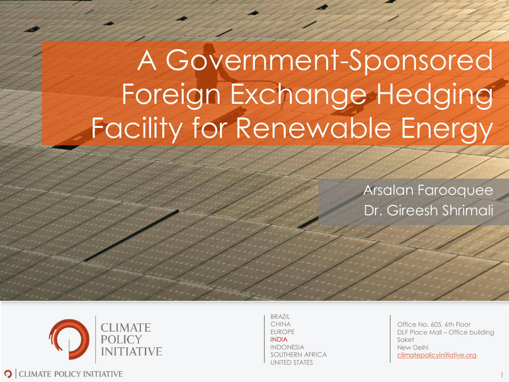# A Government-Sponsored Foreign Exchange Hedging Facility for Renewable Energy

Arsalan Farooquee Dr. Gireesh Shrimali



**O** CLIMATE POLICY INITIATIVE

BRAZIL CHINA EUROPE INDIA INDONESIA SOUTHERN AFRICA UNITED STATES

Office No. 605, 6th Floor DLF Place Mall – Office building Saket New Delhi climatepolicyinitiative.org

1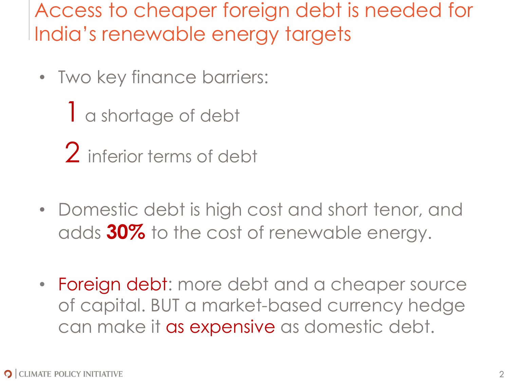Access to cheaper foreign debt is needed for India's renewable energy targets

- Two key finance barriers:
	- 1 a shortage of debt
	- 2 inferior terms of debt
- Domestic debt is high cost and short tenor, and adds **30%** to the cost of renewable energy.
- Foreign debt: more debt and a cheaper source of capital. BUT a market-based currency hedge can make it as expensive as domestic debt.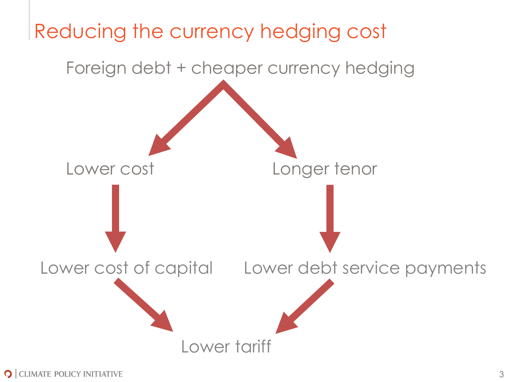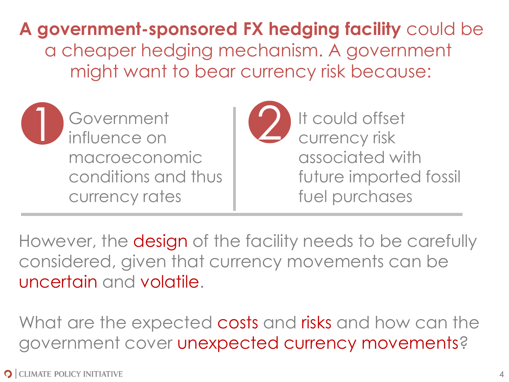**A government-sponsored FX hedging facility** could be a cheaper hedging mechanism. A government might want to bear currency risk because:

**Government** influence on macroeconomic conditions and thus currency rates 1 Government<br>influence on



It could offset currency risk associated with future imported fossil fuel purchases

However, the **design** of the facility needs to be carefully considered, given that currency movements can be uncertain and volatile.

What are the expected costs and risks and how can the government cover unexpected currency movements?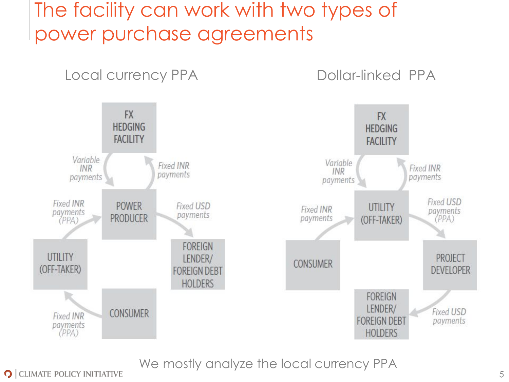The facility can work with two types of power purchase agreements



We mostly analyze the local currency PPA

**Q** CLIMATE POLICY INITIATIVE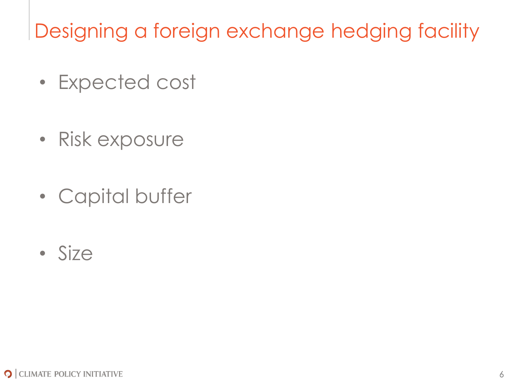Designing a foreign exchange hedging facility

- Expected cost
- Risk exposure
- Capital buffer
- Size

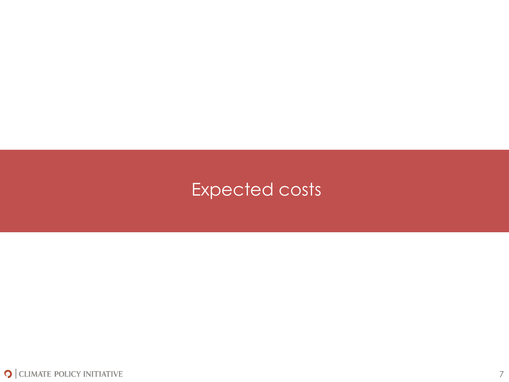#### Expected costs

 $\bigcirc$  CLIMATE POLICY INITIATIVE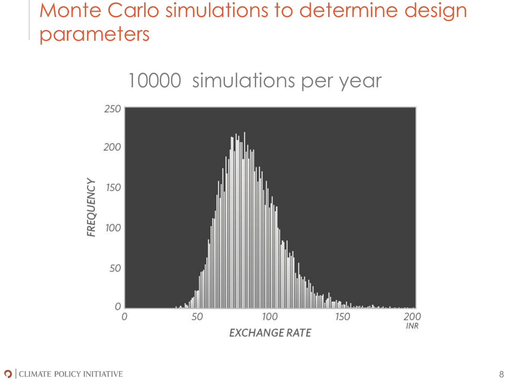#### Monte Carlo simulations to determine design parameters

#### 10000 simulations per year

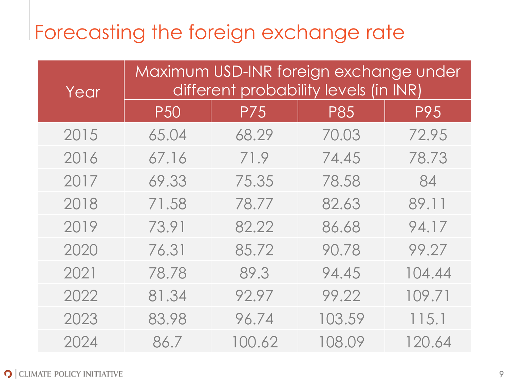### Forecasting the foreign exchange rate

| Year | Maximum USD-INR foreign exchange under<br>different probability levels (in INR) |            |            |        |  |  |  |
|------|---------------------------------------------------------------------------------|------------|------------|--------|--|--|--|
|      | P <sub>50</sub>                                                                 | <b>P75</b> | <b>P85</b> | P95    |  |  |  |
| 2015 | 65.04                                                                           | 68.29      | 70.03      | 72.95  |  |  |  |
| 2016 | 67.16                                                                           | 71.9       | 74.45      | 78.73  |  |  |  |
| 2017 | 69.33                                                                           | 75.35      | 78.58      | 84     |  |  |  |
| 2018 | 71.58                                                                           | 78.77      | 82.63      | 89.11  |  |  |  |
| 2019 | 73.91                                                                           | 82.22      | 86.68      | 94.17  |  |  |  |
| 2020 | 76.31                                                                           | 85.72      | 90.78      | 99.27  |  |  |  |
| 2021 | 78.78                                                                           | 89.3       | 94.45      | 104.44 |  |  |  |
| 2022 | 81.34                                                                           | 92.97      | 99.22      | 109.71 |  |  |  |
| 2023 | 83.98                                                                           | 96.74      | 103.59     | 115.1  |  |  |  |
| 2024 | 86.7                                                                            | 100.62     | 108.09     | 120.64 |  |  |  |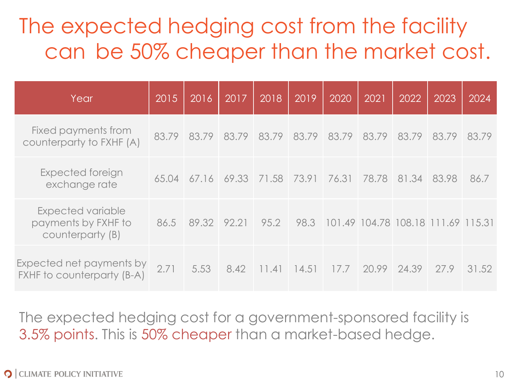### The expected hedging cost from the facility can be 50% cheaper than the market cost.

| Year                                                         | 2015  | 2016 | 2017        | 2018                          | 2019  | 2020                                    | 2021        | 2022  | 2023  | 2024  |
|--------------------------------------------------------------|-------|------|-------------|-------------------------------|-------|-----------------------------------------|-------------|-------|-------|-------|
| Fixed payments from<br>counterparty to FXHF (A)              | 83.79 |      |             | 83.79 83.79 83.79 83.79 83.79 |       |                                         | 83.79 83.79 |       | 83.79 | 83.79 |
| Expected foreign<br>exchange rate                            | 65.04 |      |             | 67.16 69.33 71.58 73.91 76.31 |       |                                         | 78.78       | 81.34 | 83.98 | 86.7  |
| Expected variable<br>payments by FXHF to<br>counterparty (B) | 86.5  |      | 89.32 92.21 | 95.2                          |       | 98.3 101.49 104.78 108.18 111.69 115.31 |             |       |       |       |
| Expected net payments by<br>FXHF to counterparty (B-A)       | 2.71  | 5.53 | 8.42        | 11.41                         | 14.51 | 17.7                                    | 20.99       | 24.39 | 27.9  | 31.52 |

The expected hedging cost for a government-sponsored facility is 3.5% points. This is 50% cheaper than a market-based hedge.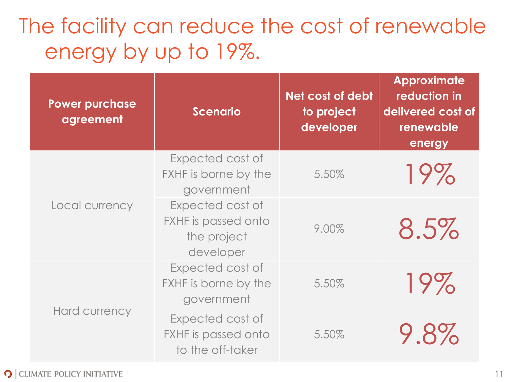### The facility can reduce the cost of renewable energy by up to 19%.

| <b>Power purchase</b><br>agreement | <b>Scenario</b>                                                     | Net cost of debt<br>to project<br>developer | <b>Approximate</b><br>reduction in<br>delivered cost of<br>renewable<br>energy |
|------------------------------------|---------------------------------------------------------------------|---------------------------------------------|--------------------------------------------------------------------------------|
| Local currency                     | Expected cost of<br>FXHF is borne by the<br>government              | 5.50%                                       | 19%                                                                            |
|                                    | Expected cost of<br>FXHF is passed onto<br>the project<br>developer | 9.00%                                       | 8.5%                                                                           |
| <b>Hard currency</b>               | Expected cost of<br>FXHF is borne by the<br>government              | 5.50%                                       | 19%                                                                            |
|                                    | Expected cost of<br>FXHF is passed onto<br>to the off-taker         | 5.50%                                       | 9.8%                                                                           |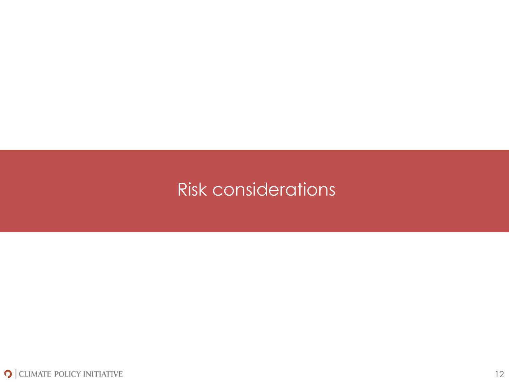#### Risk considerations

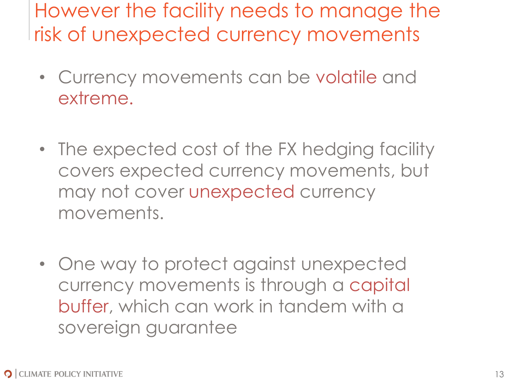However the facility needs to manage the risk of unexpected currency movements

- Currency movements can be volatile and extreme.
- The expected cost of the FX hedging facility covers expected currency movements, but may not cover unexpected currency movements.
- One way to protect against unexpected currency movements is through a capital buffer, which can work in tandem with a sovereign guarantee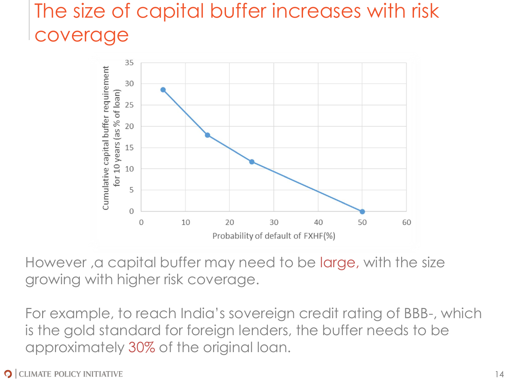### The size of capital buffer increases with risk coverage



However ,a capital buffer may need to be large, with the size growing with higher risk coverage.

For example, to reach India's sovereign credit rating of BBB-, which is the gold standard for foreign lenders, the buffer needs to be approximately 30% of the original loan.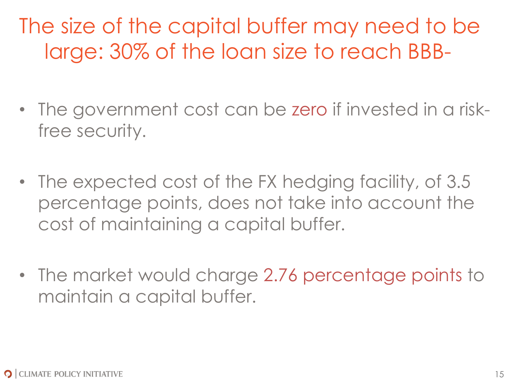### The size of the capital buffer may need to be large: 30% of the loan size to reach BBB-

- The government cost can be zero if invested in a riskfree security.
- The expected cost of the FX hedging facility, of 3.5 percentage points, does not take into account the cost of maintaining a capital buffer.
- The market would charge 2.76 percentage points to maintain a capital buffer.